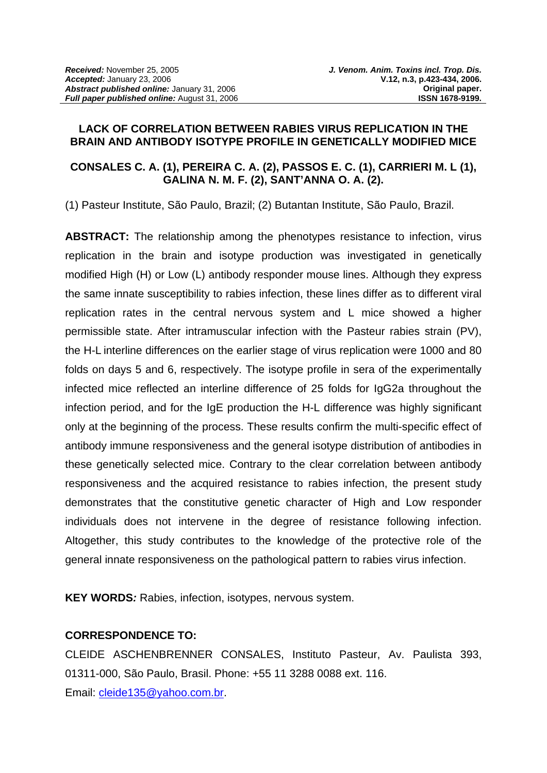## **LACK OF CORRELATION BETWEEN RABIES VIRUS REPLICATION IN THE BRAIN AND ANTIBODY ISOTYPE PROFILE IN GENETICALLY MODIFIED MICE**

# **CONSALES C. A. (1), PEREIRA C. A. (2), PASSOS E. C. (1), CARRIERI M. L (1), GALINA N. M. F. (2), SANT'ANNA O. A. (2).**

(1) Pasteur Institute, São Paulo, Brazil; (2) Butantan Institute, São Paulo, Brazil.

**ABSTRACT:** The relationship among the phenotypes resistance to infection, virus replication in the brain and isotype production was investigated in genetically modified High (H) or Low (L) antibody responder mouse lines. Although they express the same innate susceptibility to rabies infection, these lines differ as to different viral replication rates in the central nervous system and L mice showed a higher permissible state. After intramuscular infection with the Pasteur rabies strain (PV), the H-L interline differences on the earlier stage of virus replication were 1000 and 80 folds on days 5 and 6, respectively. The isotype profile in sera of the experimentally infected mice reflected an interline difference of 25 folds for IgG2a throughout the infection period, and for the IgE production the H-L difference was highly significant only at the beginning of the process. These results confirm the multi-specific effect of antibody immune responsiveness and the general isotype distribution of antibodies in these genetically selected mice. Contrary to the clear correlation between antibody responsiveness and the acquired resistance to rabies infection, the present study demonstrates that the constitutive genetic character of High and Low responder individuals does not intervene in the degree of resistance following infection. Altogether, this study contributes to the knowledge of the protective role of the general innate responsiveness on the pathological pattern to rabies virus infection.

**KEY WORDS***:* Rabies, infection, isotypes, nervous system.

# **CORRESPONDENCE TO:**

CLEIDE ASCHENBRENNER CONSALES, Instituto Pasteur, Av. Paulista 393, 01311-000, São Paulo, Brasil. Phone: +55 11 3288 0088 ext. 116. Email: [cleide135@yahoo.com.br.](mailto:cleide135@yahoo.com.br)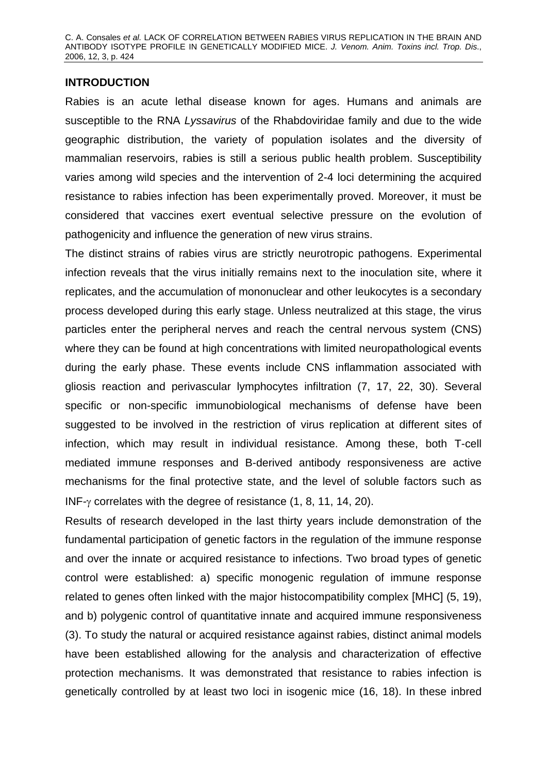# **INTRODUCTION**

Rabies is an acute lethal disease known for ages. Humans and animals are susceptible to the RNA *Lyssavirus* of the Rhabdoviridae family and due to the wide geographic distribution, the variety of population isolates and the diversity of mammalian reservoirs, rabies is still a serious public health problem. Susceptibility varies among wild species and the intervention of 2-4 loci determining the acquired resistance to rabies infection has been experimentally proved. Moreover, it must be considered that vaccines exert eventual selective pressure on the evolution of pathogenicity and influence the generation of new virus strains.

The distinct strains of rabies virus are strictly neurotropic pathogens. Experimental infection reveals that the virus initially remains next to the inoculation site, where it replicates, and the accumulation of mononuclear and other leukocytes is a secondary process developed during this early stage. Unless neutralized at this stage, the virus particles enter the peripheral nerves and reach the central nervous system (CNS) where they can be found at high concentrations with limited neuropathological events during the early phase. These events include CNS inflammation associated with gliosis reaction and perivascular lymphocytes infiltration (7, 17, 22, 30). Several specific or non-specific immunobiological mechanisms of defense have been suggested to be involved in the restriction of virus replication at different sites of infection, which may result in individual resistance. Among these, both T-cell mediated immune responses and B-derived antibody responsiveness are active mechanisms for the final protective state, and the level of soluble factors such as INF-γ correlates with the degree of resistance (1, 8, 11, 14, 20).

Results of research developed in the last thirty years include demonstration of the fundamental participation of genetic factors in the regulation of the immune response and over the innate or acquired resistance to infections. Two broad types of genetic control were established: a) specific monogenic regulation of immune response related to genes often linked with the major histocompatibility complex [MHC] (5, 19), and b) polygenic control of quantitative innate and acquired immune responsiveness (3). To study the natural or acquired resistance against rabies, distinct animal models have been established allowing for the analysis and characterization of effective protection mechanisms. It was demonstrated that resistance to rabies infection is genetically controlled by at least two loci in isogenic mice (16, 18). In these inbred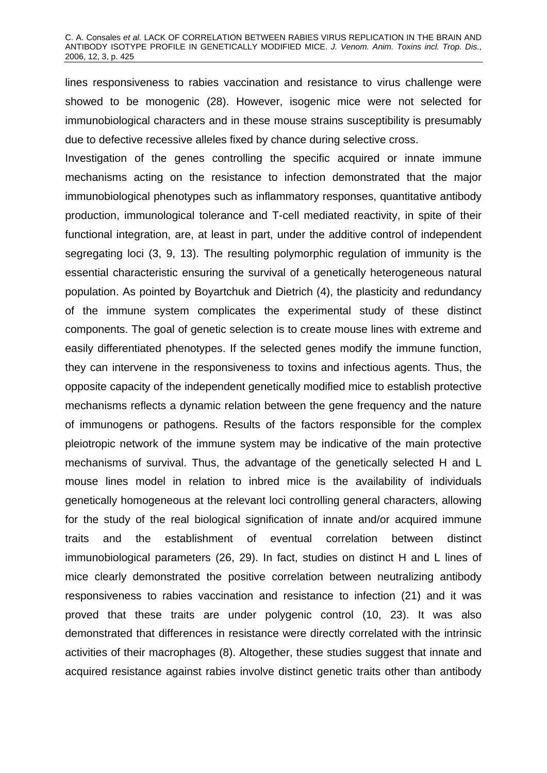#### C. A. Consales *et al.* LACK OF CORRELATION BETWEEN RABIES VIRUS REPLICATION IN THE BRAIN AND ANTIBODY ISOTYPE PROFILE IN GENETICALLY MODIFIED MICE. *J. Venom. Anim. Toxins incl. Trop. Dis*., 2006, 12, 3, p. 425

lines responsiveness to rabies vaccination and resistance to virus challenge were showed to be monogenic (28). However, isogenic mice were not selected for immunobiological characters and in these mouse strains susceptibility is presumably due to defective recessive alleles fixed by chance during selective cross.

Investigation of the genes controlling the specific acquired or innate immune mechanisms acting on the resistance to infection demonstrated that the major immunobiological phenotypes such as inflammatory responses, quantitative antibody production, immunological tolerance and T-cell mediated reactivity, in spite of their functional integration, are, at least in part, under the additive control of independent segregating loci (3, 9, 13). The resulting polymorphic regulation of immunity is the essential characteristic ensuring the survival of a genetically heterogeneous natural population. As pointed by Boyartchuk and Dietrich (4), the plasticity and redundancy of the immune system complicates the experimental study of these distinct components. The goal of genetic selection is to create mouse lines with extreme and easily differentiated phenotypes. If the selected genes modify the immune function, they can intervene in the responsiveness to toxins and infectious agents. Thus, the opposite capacity of the independent genetically modified mice to establish protective mechanisms reflects a dynamic relation between the gene frequency and the nature of immunogens or pathogens. Results of the factors responsible for the complex pleiotropic network of the immune system may be indicative of the main protective mechanisms of survival. Thus, the advantage of the genetically selected H and L mouse lines model in relation to inbred mice is the availability of individuals genetically homogeneous at the relevant loci controlling general characters, allowing for the study of the real biological signification of innate and/or acquired immune traits and the establishment of eventual correlation between distinct immunobiological parameters (26, 29). In fact, studies on distinct H and L lines of mice clearly demonstrated the positive correlation between neutralizing antibody responsiveness to rabies vaccination and resistance to infection (21) and it was proved that these traits are under polygenic control (10, 23). It was also demonstrated that differences in resistance were directly correlated with the intrinsic activities of their macrophages (8). Altogether, these studies suggest that innate and acquired resistance against rabies involve distinct genetic traits other than antibody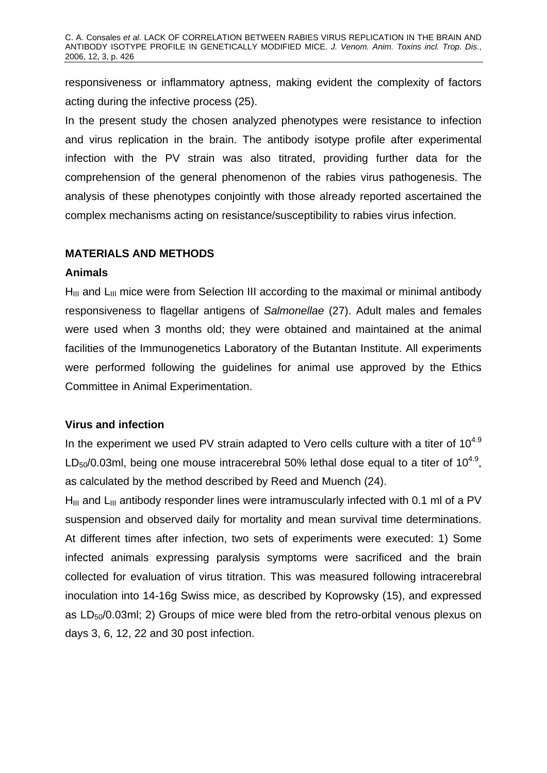responsiveness or inflammatory aptness, making evident the complexity of factors acting during the infective process (25).

In the present study the chosen analyzed phenotypes were resistance to infection and virus replication in the brain. The antibody isotype profile after experimental infection with the PV strain was also titrated, providing further data for the comprehension of the general phenomenon of the rabies virus pathogenesis. The analysis of these phenotypes conjointly with those already reported ascertained the complex mechanisms acting on resistance/susceptibility to rabies virus infection.

# **MATERIALS AND METHODS**

## **Animals**

 $H<sub>III</sub>$  and  $L<sub>III</sub>$  mice were from Selection III according to the maximal or minimal antibody responsiveness to flagellar antigens of *Salmonellae* (27). Adult males and females were used when 3 months old; they were obtained and maintained at the animal facilities of the Immunogenetics Laboratory of the Butantan Institute. All experiments were performed following the guidelines for animal use approved by the Ethics Committee in Animal Experimentation.

## **Virus and infection**

In the experiment we used PV strain adapted to Vero cells culture with a titer of  $10^{4.9}$ LD<sub>50</sub>/0.03ml, being one mouse intracerebral 50% lethal dose equal to a titer of  $10^{4.9}$ , as calculated by the method described by Reed and Muench (24).

 $H<sub>III</sub>$  and  $L<sub>III</sub>$  antibody responder lines were intramuscularly infected with 0.1 ml of a PV suspension and observed daily for mortality and mean survival time determinations. At different times after infection, two sets of experiments were executed: 1) Some infected animals expressing paralysis symptoms were sacrificed and the brain collected for evaluation of virus titration. This was measured following intracerebral inoculation into 14-16g Swiss mice, as described by Koprowsky (15), and expressed as  $LD_{50}/0.03$ ml; 2) Groups of mice were bled from the retro-orbital venous plexus on days 3, 6, 12, 22 and 30 post infection.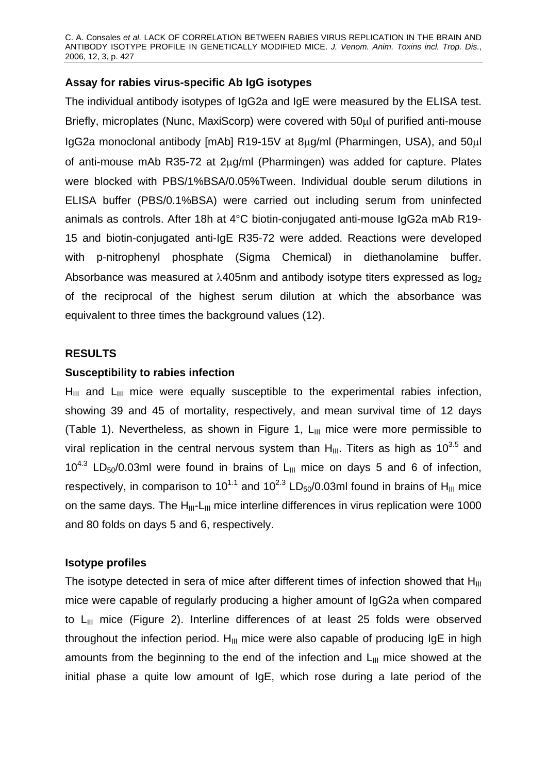C. A. Consales *et al.* LACK OF CORRELATION BETWEEN RABIES VIRUS REPLICATION IN THE BRAIN AND ANTIBODY ISOTYPE PROFILE IN GENETICALLY MODIFIED MICE. *J. Venom. Anim. Toxins incl. Trop. Dis*., 2006, 12, 3, p. 427

# **Assay for rabies virus-specific Ab IgG isotypes**

The individual antibody isotypes of IgG2a and IgE were measured by the ELISA test. Briefly, microplates (Nunc, MaxiScorp) were covered with 50μl of purified anti-mouse IgG2a monoclonal antibody [mAb] R19-15V at 8μg/ml (Pharmingen, USA), and 50μl of anti-mouse mAb R35-72 at 2μg/ml (Pharmingen) was added for capture. Plates were blocked with PBS/1%BSA/0.05%Tween. Individual double serum dilutions in ELISA buffer (PBS/0.1%BSA) were carried out including serum from uninfected animals as controls. After 18h at 4°C biotin-conjugated anti-mouse IgG2a mAb R19- 15 and biotin-conjugated anti-IgE R35-72 were added. Reactions were developed with p-nitrophenyl phosphate (Sigma Chemical) in diethanolamine buffer. Absorbance was measured at  $\lambda$ 405nm and antibody isotype titers expressed as  $log_2$ of the reciprocal of the highest serum dilution at which the absorbance was equivalent to three times the background values (12).

#### **RESULTS**

#### **Susceptibility to rabies infection**

 $H_{III}$  and  $L_{III}$  mice were equally susceptible to the experimental rabies infection, showing 39 and 45 of mortality, respectively, and mean survival time of 12 days (Table 1). Nevertheless, as shown in Figure 1,  $L_{III}$  mice were more permissible to viral replication in the central nervous system than  $H_{III}$ . Titers as high as 10<sup>3.5</sup> and  $10^{4.3}$  LD<sub>50</sub>/0.03ml were found in brains of L<sub>III</sub> mice on days 5 and 6 of infection, respectively, in comparison to 10<sup>1.1</sup> and 10<sup>2.3</sup> LD<sub>50</sub>/0.03ml found in brains of H<sub>III</sub> mice on the same days. The  $H_{III}$ -L<sub>III</sub> mice interline differences in virus replication were 1000 and 80 folds on days 5 and 6, respectively.

## **Isotype profiles**

The isotype detected in sera of mice after different times of infection showed that  $H_{III}$ mice were capable of regularly producing a higher amount of IgG2a when compared to  $L_{III}$  mice (Figure 2). Interline differences of at least 25 folds were observed throughout the infection period.  $H_{III}$  mice were also capable of producing IgE in high amounts from the beginning to the end of the infection and  $L_{III}$  mice showed at the initial phase a quite low amount of IgE, which rose during a late period of the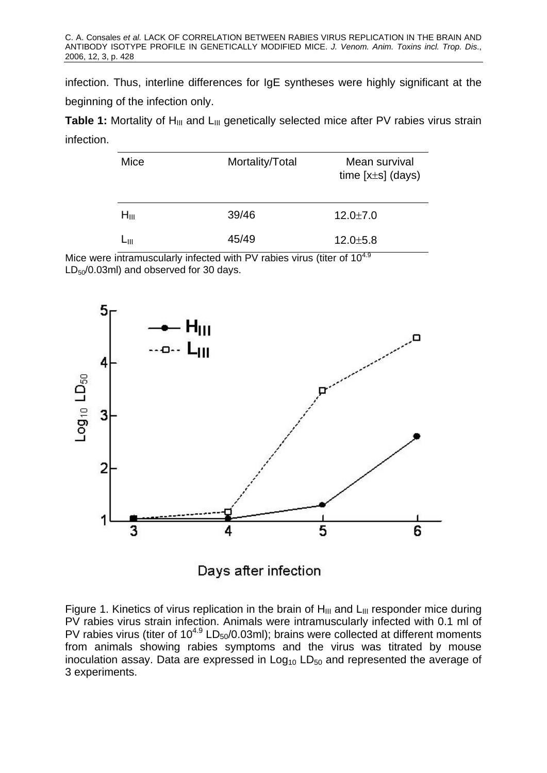infection. Thus, interline differences for IgE syntheses were highly significant at the beginning of the infection only.

**Table 1:** Mortality of H<sub>III</sub> and L<sub>III</sub> genetically selected mice after PV rabies virus strain infection.

| Mice      | Mortality/Total | Mean survival<br>time $[x \pm s]$ (days) |
|-----------|-----------------|------------------------------------------|
| $H_{III}$ | 39/46           | $12.0 \pm 7.0$                           |
| ∟ա        | 45/49           | $12.0 \pm 5.8$                           |

Mice were intramuscularly infected with PV rabies virus (titer of 10<sup>4.9</sup>)  $LD_{50}/0.03$ ml) and observed for 30 days.



Days after infection

Figure 1. Kinetics of virus replication in the brain of  $H_{III}$  and  $L_{III}$  responder mice during PV rabies virus strain infection. Animals were intramuscularly infected with 0.1 ml of PV rabies virus (titer of  $10^{4.9}$  LD<sub>50</sub>/0.03ml); brains were collected at different moments from animals showing rabies symptoms and the virus was titrated by mouse inoculation assay. Data are expressed in  $Log<sub>10</sub> LD<sub>50</sub>$  and represented the average of 3 experiments.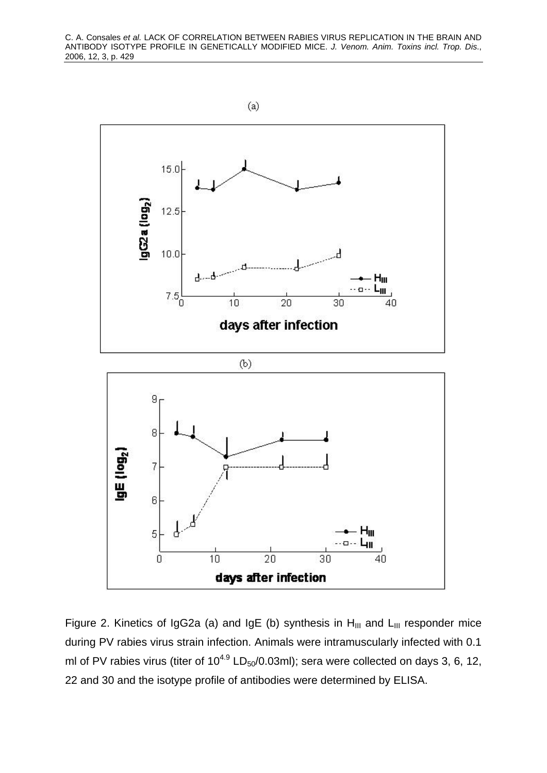

Figure 2. Kinetics of IgG2a (a) and IgE (b) synthesis in  $H_{III}$  and  $L_{III}$  responder mice during PV rabies virus strain infection. Animals were intramuscularly infected with 0.1 ml of PV rabies virus (titer of  $10^{4.9}$  LD<sub>50</sub>/0.03ml); sera were collected on days 3, 6, 12, 22 and 30 and the isotype profile of antibodies were determined by ELISA.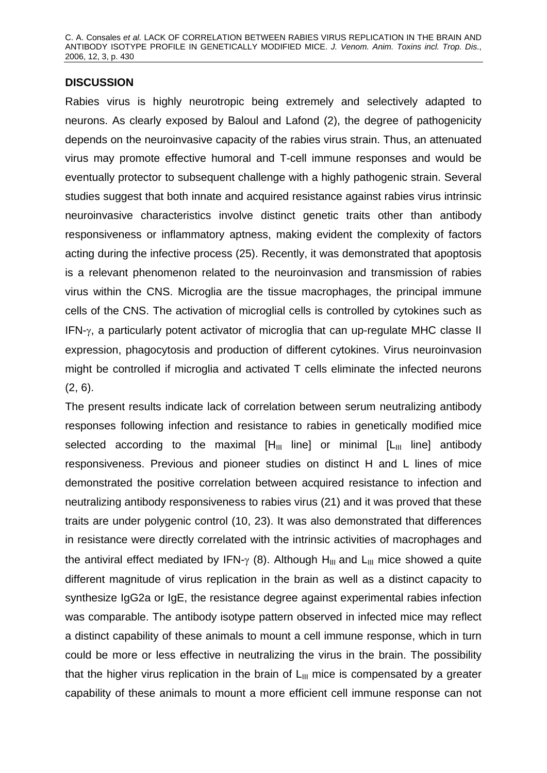C. A. Consales *et al.* LACK OF CORRELATION BETWEEN RABIES VIRUS REPLICATION IN THE BRAIN AND ANTIBODY ISOTYPE PROFILE IN GENETICALLY MODIFIED MICE. *J. Venom. Anim. Toxins incl. Trop. Dis*., 2006, 12, 3, p. 430

## **DISCUSSION**

Rabies virus is highly neurotropic being extremely and selectively adapted to neurons. As clearly exposed by Baloul and Lafond (2), the degree of pathogenicity depends on the neuroinvasive capacity of the rabies virus strain. Thus, an attenuated virus may promote effective humoral and T-cell immune responses and would be eventually protector to subsequent challenge with a highly pathogenic strain. Several studies suggest that both innate and acquired resistance against rabies virus intrinsic neuroinvasive characteristics involve distinct genetic traits other than antibody responsiveness or inflammatory aptness, making evident the complexity of factors acting during the infective process (25). Recently, it was demonstrated that apoptosis is a relevant phenomenon related to the neuroinvasion and transmission of rabies virus within the CNS. Microglia are the tissue macrophages, the principal immune cells of the CNS. The activation of microglial cells is controlled by cytokines such as IFN-γ, a particularly potent activator of microglia that can up-regulate MHC classe II expression, phagocytosis and production of different cytokines. Virus neuroinvasion might be controlled if microglia and activated T cells eliminate the infected neurons (2, 6).

The present results indicate lack of correlation between serum neutralizing antibody responses following infection and resistance to rabies in genetically modified mice selected according to the maximal  $[H_{III}$  line] or minimal  $[L_{III}$  line] antibody responsiveness. Previous and pioneer studies on distinct H and L lines of mice demonstrated the positive correlation between acquired resistance to infection and neutralizing antibody responsiveness to rabies virus (21) and it was proved that these traits are under polygenic control (10, 23). It was also demonstrated that differences in resistance were directly correlated with the intrinsic activities of macrophages and the antiviral effect mediated by IFN- $\gamma$  (8). Although H<sub>III</sub> and L<sub>III</sub> mice showed a quite different magnitude of virus replication in the brain as well as a distinct capacity to synthesize IgG2a or IgE, the resistance degree against experimental rabies infection was comparable. The antibody isotype pattern observed in infected mice may reflect a distinct capability of these animals to mount a cell immune response, which in turn could be more or less effective in neutralizing the virus in the brain. The possibility that the higher virus replication in the brain of  $L_{III}$  mice is compensated by a greater capability of these animals to mount a more efficient cell immune response can not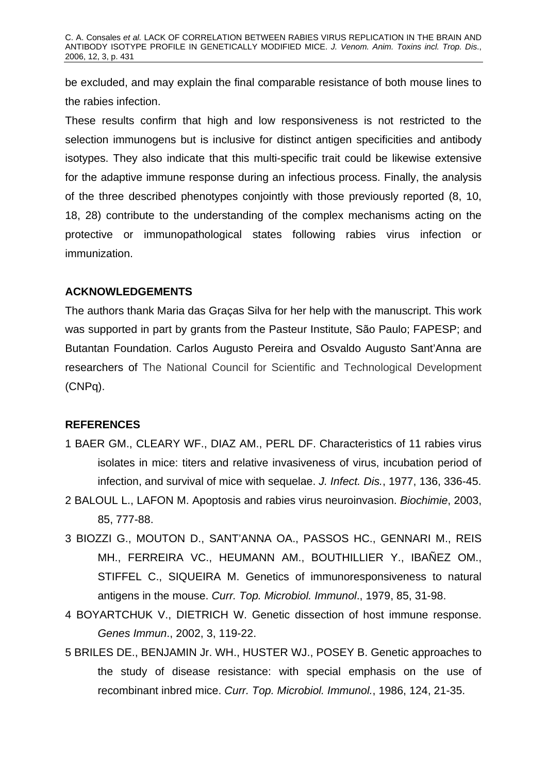be excluded, and may explain the final comparable resistance of both mouse lines to the rabies infection.

These results confirm that high and low responsiveness is not restricted to the selection immunogens but is inclusive for distinct antigen specificities and antibody isotypes. They also indicate that this multi-specific trait could be likewise extensive for the adaptive immune response during an infectious process. Finally, the analysis of the three described phenotypes conjointly with those previously reported (8, 10, 18, 28) contribute to the understanding of the complex mechanisms acting on the protective or immunopathological states following rabies virus infection or immunization.

# **ACKNOWLEDGEMENTS**

The authors thank Maria das Graças Silva for her help with the manuscript. This work was supported in part by grants from the Pasteur Institute, São Paulo; FAPESP; and Butantan Foundation. Carlos Augusto Pereira and Osvaldo Augusto Sant'Anna are researchers of The National Council for Scientific and Technological Development (CNPq).

## **REFERENCES**

- 1 BAER GM., CLEARY WF., DIAZ AM., PERL DF. Characteristics of 11 rabies virus isolates in mice: titers and relative invasiveness of virus, incubation period of infection, and survival of mice with sequelae. *J. Infect. Dis.*, 1977, 136, 336-45.
- 2 BALOUL L., LAFON M. Apoptosis and rabies virus neuroinvasion. *Biochimie*, 2003, 85, 777-88.
- 3 BIOZZI G., MOUTON D., SANT'ANNA OA., PASSOS HC., GENNARI M., REIS MH., FERREIRA VC., HEUMANN AM., BOUTHILLIER Y., IBAÑEZ OM., STIFFEL C., SIQUEIRA M. Genetics of immunoresponsiveness to natural antigens in the mouse. *Curr. Top. Microbiol. Immunol*., 1979, 85, 31-98.
- 4 BOYARTCHUK V., DIETRICH W. Genetic dissection of host immune response. *Genes Immun*., 2002, 3, 119-22.
- 5 BRILES DE., BENJAMIN Jr. WH., HUSTER WJ., POSEY B. Genetic approaches to the study of disease resistance: with special emphasis on the use of recombinant inbred mice. *Curr. Top. Microbiol. Immunol.*, 1986, 124, 21-35.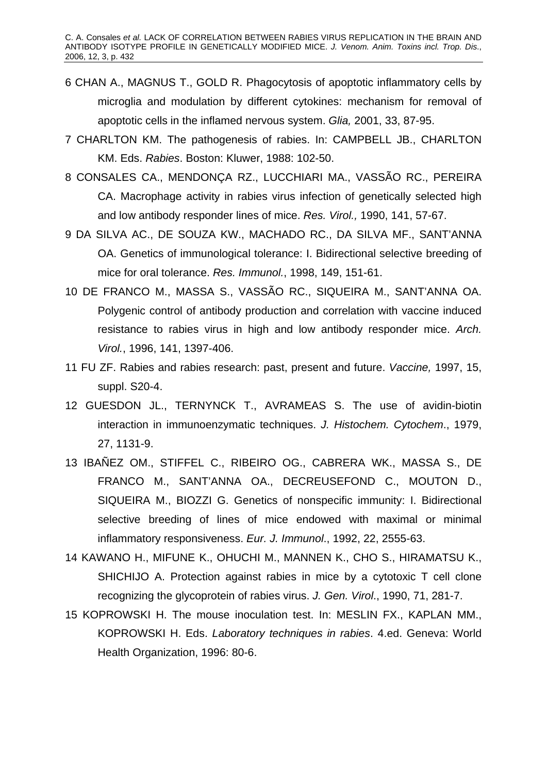- 6 CHAN A., MAGNUS T., GOLD R. Phagocytosis of apoptotic inflammatory cells by microglia and modulation by different cytokines: mechanism for removal of apoptotic cells in the inflamed nervous system. *Glia,* 2001, 33, 87-95.
- 7 CHARLTON KM. The pathogenesis of rabies. In: CAMPBELL JB., CHARLTON KM. Eds. *Rabies*. Boston: Kluwer, 1988: 102-50.
- 8 CONSALES CA., MENDONÇA RZ., LUCCHIARI MA., VASSÃO RC., PEREIRA CA. Macrophage activity in rabies virus infection of genetically selected high and low antibody responder lines of mice. *Res. Virol.,* 1990, 141, 57-67.
- 9 DA SILVA AC., DE SOUZA KW., MACHADO RC., DA SILVA MF., SANT'ANNA OA. Genetics of immunological tolerance: I. Bidirectional selective breeding of mice for oral tolerance. *Res. Immunol.*, 1998, 149, 151-61.
- 10 DE FRANCO M., MASSA S., VASSÃO RC., SIQUEIRA M., SANT'ANNA OA. Polygenic control of antibody production and correlation with vaccine induced resistance to rabies virus in high and low antibody responder mice. *Arch. Virol.*, 1996, 141, 1397-406.
- 11 FU ZF. Rabies and rabies research: past, present and future. *Vaccine,* 1997, 15, suppl. S20-4.
- 12 GUESDON JL., TERNYNCK T., AVRAMEAS S. The use of avidin-biotin interaction in immunoenzymatic techniques. *J. Histochem. Cytochem*., 1979, 27, 1131-9.
- 13 IBAÑEZ OM., STIFFEL C., RIBEIRO OG., CABRERA WK., MASSA S., DE FRANCO M., SANT'ANNA OA., DECREUSEFOND C., MOUTON D., SIQUEIRA M., BIOZZI G. Genetics of nonspecific immunity: I. Bidirectional selective breeding of lines of mice endowed with maximal or minimal inflammatory responsiveness. *Eur. J. Immunol*., 1992, 22, 2555-63.
- 14 KAWANO H., MIFUNE K., OHUCHI M., MANNEN K., CHO S., HIRAMATSU K., SHICHIJO A. Protection against rabies in mice by a cytotoxic T cell clone recognizing the glycoprotein of rabies virus. *J. Gen. Virol*., 1990, 71, 281-7.
- 15 KOPROWSKI H. The mouse inoculation test. In: MESLIN FX., KAPLAN MM., KOPROWSKI H. Eds. *Laboratory techniques in rabies*. 4.ed. Geneva: World Health Organization, 1996: 80-6.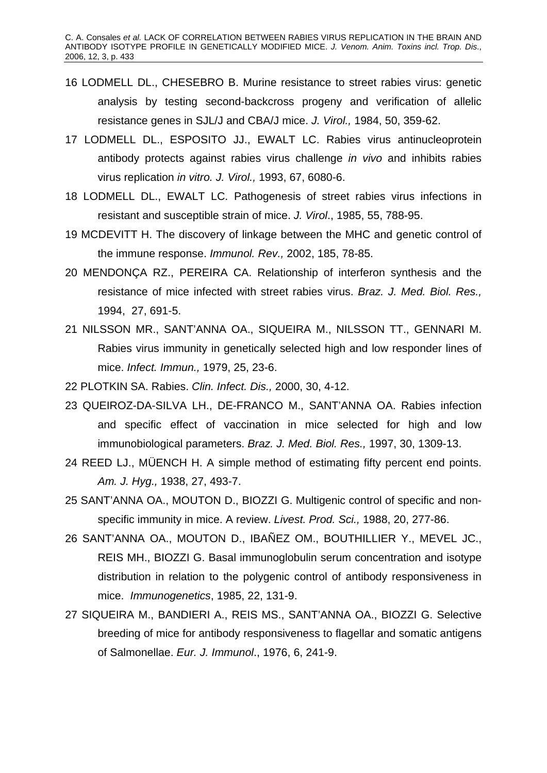- 16 LODMELL DL., CHESEBRO B. Murine resistance to street rabies virus: genetic analysis by testing second-backcross progeny and verification of allelic resistance genes in SJL/J and CBA/J mice. *J. Virol.,* 1984, 50, 359-62.
- 17 LODMELL DL., ESPOSITO JJ., EWALT LC. Rabies virus antinucleoprotein antibody protects against rabies virus challenge *in vivo* and inhibits rabies virus replication *in vitro. J. Virol.,* 1993, 67, 6080-6.
- 18 LODMELL DL., EWALT LC. Pathogenesis of street rabies virus infections in resistant and susceptible strain of mice. *J. Virol*., 1985, 55, 788-95.
- 19 MCDEVITT H. The discovery of linkage between the MHC and genetic control of the immune response. *Immunol. Rev.,* 2002, 185, 78-85.
- 20 MENDONÇA RZ., PEREIRA CA. Relationship of interferon synthesis and the resistance of mice infected with street rabies virus. *Braz. J. Med. Biol. Res.,* 1994, 27, 691-5.
- 21 NILSSON MR., SANT'ANNA OA., SIQUEIRA M., NILSSON TT., GENNARI M. Rabies virus immunity in genetically selected high and low responder lines of mice. *Infect. Immun.,* 1979, 25, 23-6.
- 22 PLOTKIN SA. Rabies. *Clin. Infect. Dis.,* 2000, 30, 4-12.
- 23 QUEIROZ-DA-SILVA LH., DE-FRANCO M., SANT'ANNA OA. Rabies infection and specific effect of vaccination in mice selected for high and low immunobiological parameters. *Braz. J. Med. Biol. Res.,* 1997, 30, 1309-13.
- 24 REED LJ., MÜENCH H. A simple method of estimating fifty percent end points. *Am. J. Hyg.,* 1938, 27, 493-7.
- 25 SANT'ANNA OA., MOUTON D., BIOZZI G. Multigenic control of specific and nonspecific immunity in mice. A review. *Livest. Prod. Sci.,* 1988, 20, 277-86.
- 26 SANT'ANNA OA., MOUTON D., IBAÑEZ OM., BOUTHILLIER Y., MEVEL JC., REIS MH., BIOZZI G. Basal immunoglobulin serum concentration and isotype distribution in relation to the polygenic control of antibody responsiveness in mice. *Immunogenetics*, 1985, 22, 131-9.
- 27 SIQUEIRA M., BANDIERI A., REIS MS., SANT'ANNA OA., BIOZZI G. Selective breeding of mice for antibody responsiveness to flagellar and somatic antigens of Salmonellae. *Eur. J. Immunol*., 1976, 6, 241-9.